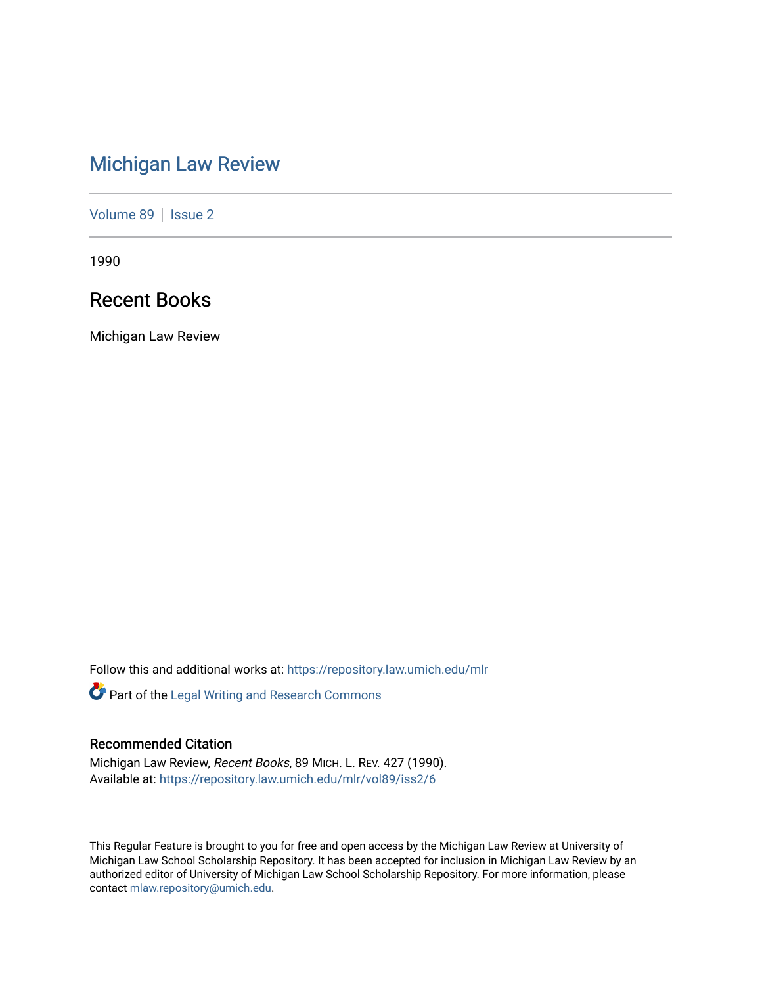# [Michigan Law Review](https://repository.law.umich.edu/mlr)

[Volume 89](https://repository.law.umich.edu/mlr/vol89) | [Issue 2](https://repository.law.umich.edu/mlr/vol89/iss2)

1990

## Recent Books

Michigan Law Review

Follow this and additional works at: [https://repository.law.umich.edu/mlr](https://repository.law.umich.edu/mlr?utm_source=repository.law.umich.edu%2Fmlr%2Fvol89%2Fiss2%2F6&utm_medium=PDF&utm_campaign=PDFCoverPages) 

Part of the [Legal Writing and Research Commons](http://network.bepress.com/hgg/discipline/614?utm_source=repository.law.umich.edu%2Fmlr%2Fvol89%2Fiss2%2F6&utm_medium=PDF&utm_campaign=PDFCoverPages) 

## Recommended Citation

Michigan Law Review, Recent Books, 89 MICH. L. REV. 427 (1990). Available at: [https://repository.law.umich.edu/mlr/vol89/iss2/6](https://repository.law.umich.edu/mlr/vol89/iss2/6?utm_source=repository.law.umich.edu%2Fmlr%2Fvol89%2Fiss2%2F6&utm_medium=PDF&utm_campaign=PDFCoverPages)

This Regular Feature is brought to you for free and open access by the Michigan Law Review at University of Michigan Law School Scholarship Repository. It has been accepted for inclusion in Michigan Law Review by an authorized editor of University of Michigan Law School Scholarship Repository. For more information, please contact [mlaw.repository@umich.edu](mailto:mlaw.repository@umich.edu).